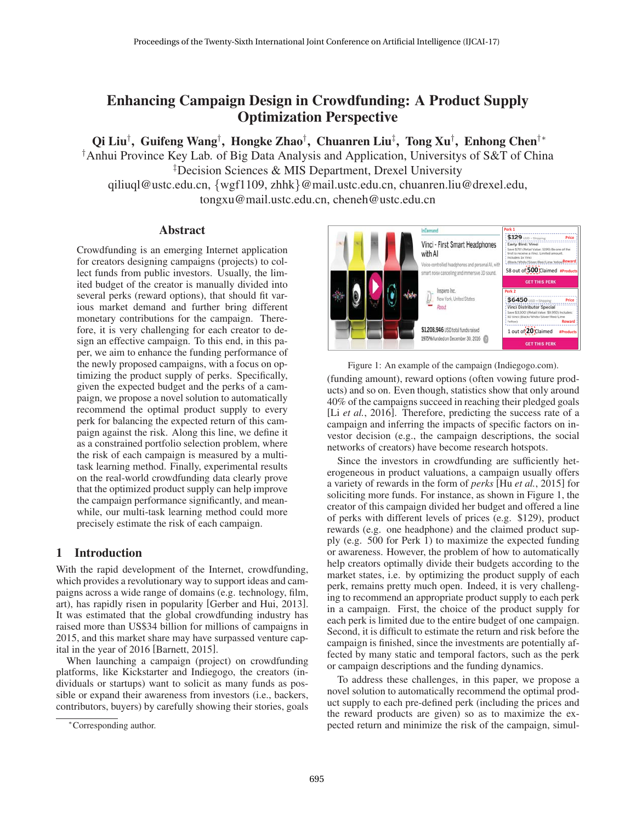# Enhancing Campaign Design in Crowdfunding: A Product Supply Optimization Perspective

Qi Liu†, Guifeng Wang†, Hongke Zhao†, Chuanren Liu‡, Tong Xu†, Enhong Chen†\*

† Anhui Province Key Lab. of Big Data Analysis and Application, Universitys of S&T of China ‡ Decision Sciences & MIS Department, Drexel University

qiliuql@ustc.edu.cn, {wgf1109, zhhk}@mail.ustc.edu.cn, chuanren.liu@drexel.edu, tongxu@mail.ustc.edu.cn, cheneh@ustc.edu.cn

## Abstract

Crowdfunding is an emerging Internet application for creators designing campaigns (projects) to collect funds from public investors. Usually, the limited budget of the creator is manually divided into several perks (reward options), that should fit various market demand and further bring different monetary contributions for the campaign. Therefore, it is very challenging for each creator to design an effective campaign. To this end, in this paper, we aim to enhance the funding performance of the newly proposed campaigns, with a focus on optimizing the product supply of perks. Specifically, given the expected budget and the perks of a campaign, we propose a novel solution to automatically recommend the optimal product supply to every perk for balancing the expected return of this campaign against the risk. Along this line, we define it as a constrained portfolio selection problem, where the risk of each campaign is measured by a multitask learning method. Finally, experimental results on the real-world crowdfunding data clearly prove that the optimized product supply can help improve the campaign performance significantly, and meanwhile, our multi-task learning method could more precisely estimate the risk of each campaign.

## 1 Introduction

With the rapid development of the Internet, crowdfunding, which provides a revolutionary way to support ideas and campaigns across a wide range of domains (e.g. technology, film, art), has rapidly risen in popularity [Gerber and Hui, 2013]. It was estimated that the global crowdfunding industry has raised more than US\$34 billion for millions of campaigns in 2015, and this market share may have surpassed venture capital in the year of 2016 [Barnett, 2015].

When launching a campaign (project) on crowdfunding platforms, like Kickstarter and Indiegogo, the creators (individuals or startups) want to solicit as many funds as possible or expand their awareness from investors (i.e., backers, contributors, buyers) by carefully showing their stories, goals



Figure 1: An example of the campaign (Indiegogo.com).

(funding amount), reward options (often vowing future products) and so on. Even though, statistics show that only around 40% of the campaigns succeed in reaching their pledged goals [Li *et al.*, 2016]. Therefore, predicting the success rate of a campaign and inferring the impacts of specific factors on investor decision (e.g., the campaign descriptions, the social networks of creators) have become research hotspots.

Since the investors in crowdfunding are sufficiently heterogeneous in product valuations, a campaign usually offers a variety of rewards in the form of *perks* [Hu *et al.*, 2015] for soliciting more funds. For instance, as shown in Figure 1, the creator of this campaign divided her budget and offered a line of perks with different levels of prices (e.g. \$129), product rewards (e.g. one headphone) and the claimed product supply (e.g. 500 for Perk 1) to maximize the expected funding or awareness. However, the problem of how to automatically help creators optimally divide their budgets according to the market states, i.e. by optimizing the product supply of each perk, remains pretty much open. Indeed, it is very challenging to recommend an appropriate product supply to each perk in a campaign. First, the choice of the product supply for each perk is limited due to the entire budget of one campaign. Second, it is difficult to estimate the return and risk before the campaign is finished, since the investments are potentially affected by many static and temporal factors, such as the perk or campaign descriptions and the funding dynamics.

To address these challenges, in this paper, we propose a novel solution to automatically recommend the optimal product supply to each pre-defined perk (including the prices and the reward products are given) so as to maximize the expected return and minimize the risk of the campaign, simul-

<sup>∗</sup>Corresponding author.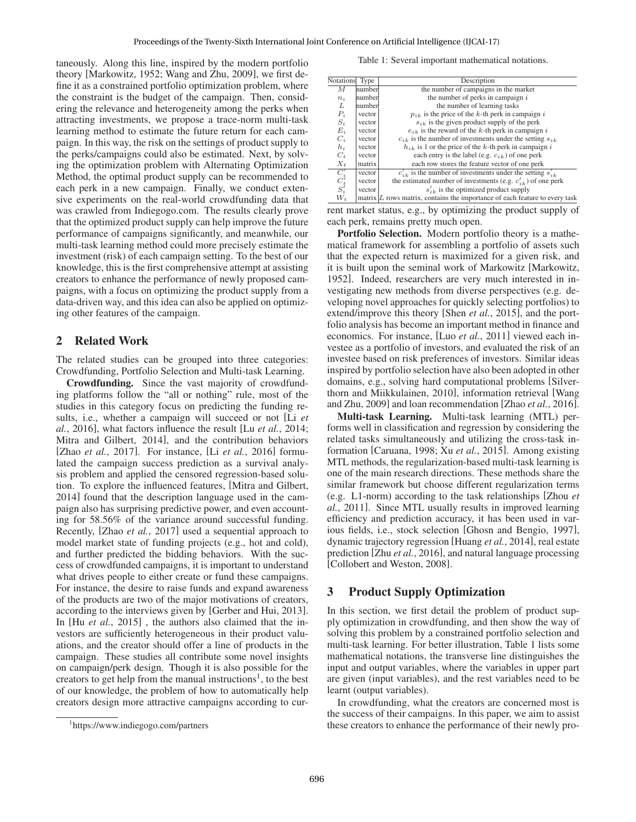taneously. Along this line, inspired by the modern portfolio theory [Markowitz, 1952; Wang and Zhu, 2009], we first define it as a constrained portfolio optimization problem, where the constraint is the budget of the campaign. Then, considering the relevance and heterogeneity among the perks when attracting investments, we propose a trace-norm multi-task learning method to estimate the future return for each campaign. In this way, the risk on the settings of product supply to the perks/campaigns could also be estimated. Next, by solving the optimization problem with Alternating Optimization Method, the optimal product supply can be recommended to each perk in a new campaign. Finally, we conduct extensive experiments on the real-world crowdfunding data that was crawled from Indiegogo.com. The results clearly prove that the optimized product supply can help improve the future performance of campaigns significantly, and meanwhile, our multi-task learning method could more precisely estimate the investment (risk) of each campaign setting. To the best of our knowledge, this is the first comprehensive attempt at assisting creators to enhance the performance of newly proposed campaigns, with a focus on optimizing the product supply from a data-driven way, and this idea can also be applied on optimizing other features of the campaign.

## 2 Related Work

The related studies can be grouped into three categories: Crowdfunding, Portfolio Selection and Multi-task Learning.

Crowdfunding. Since the vast majority of crowdfunding platforms follow the "all or nothing" rule, most of the studies in this category focus on predicting the funding results, i.e., whether a campaign will succeed or not [Li *et al.*, 2016], what factors influence the result [Lu *et al.*, 2014; Mitra and Gilbert, 2014], and the contribution behaviors [Zhao *et al.*, 2017]. For instance, [Li *et al.*, 2016] formulated the campaign success prediction as a survival analysis problem and applied the censored regression-based solution. To explore the influenced features, [Mitra and Gilbert, 2014] found that the description language used in the campaign also has surprising predictive power, and even accounting for 58.56% of the variance around successful funding. Recently, [Zhao *et al.*, 2017] used a sequential approach to model market state of funding projects (e.g., hot and cold), and further predicted the bidding behaviors. With the success of crowdfunded campaigns, it is important to understand what drives people to either create or fund these campaigns. For instance, the desire to raise funds and expand awareness of the products are two of the major motivations of creators, according to the interviews given by [Gerber and Hui, 2013]. In [Hu *et al.*, 2015], the authors also claimed that the investors are sufficiently heterogeneous in their product valuations, and the creator should offer a line of products in the campaign. These studies all contribute some novel insights on campaign/perk design. Though it is also possible for the creators to get help from the manual instructions<sup>1</sup>, to the best of our knowledge, the problem of how to automatically help creators design more attractive campaigns according to cur-

Table 1: Several important mathematical notations.

| <b>Notations</b>                                     |        | Description                                                                    |
|------------------------------------------------------|--------|--------------------------------------------------------------------------------|
|                                                      | Type   |                                                                                |
| М                                                    | number | the number of campaigns in the market                                          |
| $n_i$                                                | number | the number of perks in campaign $i$                                            |
| L                                                    | number | the number of learning tasks                                                   |
| $\mathcal{P}_i$                                      | vector | $p_{ik}$ is the price of the k-th perk in campaign i                           |
| $S_i$                                                | vector | $s_{ik}$ is the given product supply of the perk                               |
| $E_i$                                                | vector | $e_{ik}$ is the reward of the k-th perk in campaign i                          |
| $C_i$                                                | vector | $c_{ik}$ is the number of investments under the setting $s_{ik}$               |
| $h_i$                                                | vector | $h_{ik}$ is 1 or the price of the k-th perk in campaign i                      |
| $C_t$                                                | vector | each entry is the label (e.g. $c_{ik}$ ) of one perk                           |
| $X_t$                                                | matrix | each row stores the feature vector of one perk                                 |
|                                                      | vector | $c'_{ik}$ is the number of investments under the setting $s'_{ik}$             |
|                                                      | vector | the estimated number of investments (e.g. $c'_{ik}$ ) of one perk              |
| $\overline{C_i'}\atop {S_i'}\atop {V_t'}\atop {V_t}$ | vector | $s'_{ik}$ is the optimized product supply                                      |
|                                                      |        | matrix $ L$ rows matrix, contains the importance of each feature to every task |

rent market status, e.g., by optimizing the product supply of each perk, remains pretty much open.

Portfolio Selection. Modern portfolio theory is a mathematical framework for assembling a portfolio of assets such that the expected return is maximized for a given risk, and it is built upon the seminal work of Markowitz [Markowitz, 1952]. Indeed, researchers are very much interested in investigating new methods from diverse perspectives (e.g. developing novel approaches for quickly selecting portfolios) to extend/improve this theory [Shen *et al.*, 2015], and the portfolio analysis has become an important method in finance and economics. For instance, [Luo *et al.*, 2011] viewed each investee as a portfolio of investors, and evaluated the risk of an investee based on risk preferences of investors. Similar ideas inspired by portfolio selection have also been adopted in other domains, e.g., solving hard computational problems [Silverthorn and Miikkulainen, 2010], information retrieval [Wang and Zhu, 2009] and loan recommendation [Zhao *et al.*, 2016].

Multi-task Learning. Multi-task learning (MTL) performs well in classification and regression by considering the related tasks simultaneously and utilizing the cross-task information [Caruana, 1998; Xu *et al.*, 2015]. Among existing MTL methods, the regularization-based multi-task learning is one of the main research directions. These methods share the similar framework but choose different regularization terms (e.g. L1-norm) according to the task relationships [Zhou *et al.*, 2011]. Since MTL usually results in improved learning efficiency and prediction accuracy, it has been used in various fields, i.e., stock selection [Ghosn and Bengio, 1997], dynamic trajectory regression [Huang *et al.*, 2014], real estate prediction [Zhu *et al.*, 2016], and natural language processing [Collobert and Weston, 2008].

## 3 Product Supply Optimization

In this section, we first detail the problem of product supply optimization in crowdfunding, and then show the way of solving this problem by a constrained portfolio selection and multi-task learning. For better illustration, Table 1 lists some mathematical notations, the transverse line distinguishes the input and output variables, where the variables in upper part are given (input variables), and the rest variables need to be learnt (output variables).

In crowdfunding, what the creators are concerned most is the success of their campaigns. In this paper, we aim to assist these creators to enhance the performance of their newly pro-

<sup>1</sup> https://www.indiegogo.com/partners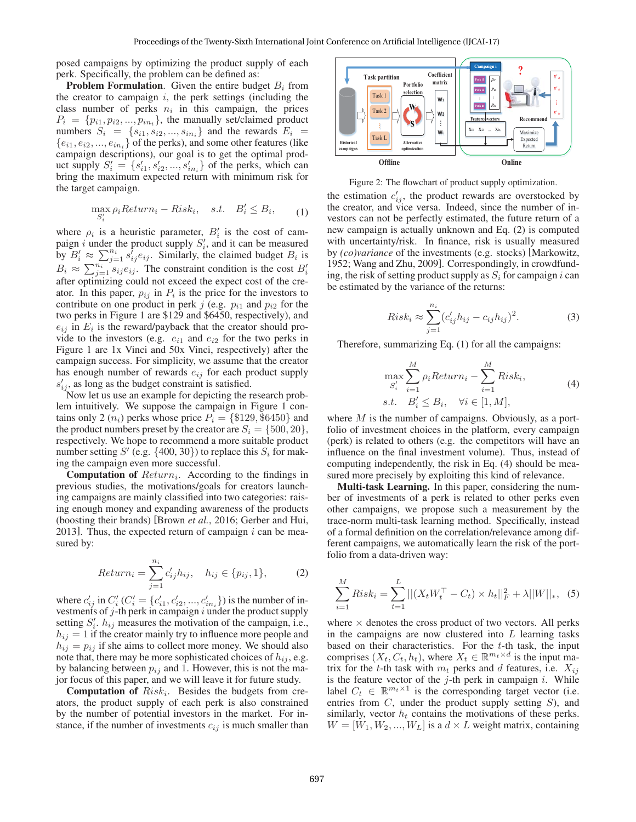posed campaigns by optimizing the product supply of each perk. Specifically, the problem can be defined as:

**Problem Formulation.** Given the entire budget  $B_i$  from the creator to campaign  $i$ , the perk settings (including the class number of perks  $n_i$  in this campaign, the prices  $P_i = \{p_{i1}, p_{i2}, \ldots, p_{in_i}\}\$ , the manually set/claimed product numbers  $S_i = \{s_{i1}, s_{i2}, ..., s_{in_i}\}\$ and the rewards  $E_i$  ${e_{i1}, e_{i2}, ..., e_{in_i}}$  of the perks), and some other features (like campaign descriptions), our goal is to get the optimal product supply  $S'_{i} = \{s'_{i1}, s'_{i2}, ..., s'_{in_{i}}\}$  of the perks, which can bring the maximum expected return with minimum risk for the target campaign.

i

$$
\max_{S_i'} \rho_i Return_i - Risk_i, \quad s.t. \quad B_i' \le B_i, \tag{1}
$$

where  $\rho_i$  is a heuristic parameter,  $B'_i$  is the cost of campaign *i* under the product supply  $S_i'$ , and it can be measured by  $B'_i \approx \sum_{j=1}^{n_i} s'_{ij} e_{ij}$ . Similarly, the claimed budget  $B_i$  is  $B_i \approx \sum_{j=1}^{n_i} s_{ij} e_{ij}$ . The constraint condition is the cost  $B'_i$ after optimizing could not exceed the expect cost of the creator. In this paper,  $p_{ij}$  in  $P_i$  is the price for the investors to contribute on one product in perk j (e.g.  $p_{i1}$  and  $p_{i2}$  for the two perks in Figure 1 are \$129 and \$6450, respectively), and  $e_{ij}$  in  $E_i$  is the reward/payback that the creator should provide to the investors (e.g.  $e_{i1}$  and  $e_{i2}$  for the two perks in Figure 1 are 1x Vinci and 50x Vinci, respectively) after the campaign success. For simplicity, we assume that the creator has enough number of rewards  $e_{ij}$  for each product supply  $s'_{ij}$ , as long as the budget constraint is satisfied.

Now let us use an example for depicting the research problem intuitively. We suppose the campaign in Figure 1 contains only 2  $(n_i)$  perks whose price  $P_i = \{\$129, \$6450\}$  and the product numbers preset by the creator are  $S_i = \{500, 20\},\$ respectively. We hope to recommend a more suitable product number setting  $S'$  (e.g.  $\{400, 30\}$ ) to replace this  $S_i$  for making the campaign even more successful.

**Computation of**  $Return_i$ . According to the findings in previous studies, the motivations/goals for creators launching campaigns are mainly classified into two categories: raising enough money and expanding awareness of the products (boosting their brands) [Brown *et al.*, 2016; Gerber and Hui, 2013]. Thus, the expected return of campaign  $i$  can be measured by:

$$
Return_i = \sum_{j=1}^{n_i} c'_{ij} h_{ij}, \quad h_{ij} \in \{p_{ij}, 1\},
$$
 (2)

where  $c'_{ij}$  in  $C'_i$  ( $C'_i = \{c'_{i1}, c'_{i2}, ..., c'_{in_i}\}$ ) is the number of investments of  $j$ -th perk in campaign  $i$  under the product supply setting  $S_i'$ .  $h_{ij}$  measures the motivation of the campaign, i.e.,  $h_{ij} = 1$  if the creator mainly try to influence more people and  $h_{ij} = p_{ij}$  if she aims to collect more money. We should also note that, there may be more sophisticated choices of  $h_{ij}$ , e.g. by balancing between  $p_{ij}$  and 1. However, this is not the major focus of this paper, and we will leave it for future study.

**Computation of**  $Risk_i$ . Besides the budgets from creators, the product supply of each perk is also constrained by the number of potential investors in the market. For instance, if the number of investments  $c_{ij}$  is much smaller than



Figure 2: The flowchart of product supply optimization.

the estimation  $c'_{i,j}$ , the product rewards are overstocked by the creator, and vice versa. Indeed, since the number of investors can not be perfectly estimated, the future return of a new campaign is actually unknown and Eq. (2) is computed with uncertainty/risk. In finance, risk is usually measured by *(co)variance* of the investments (e.g. stocks) [Markowitz, 1952; Wang and Zhu, 2009]. Correspondingly, in crowdfunding, the risk of setting product supply as  $S_i$  for campaign i can be estimated by the variance of the returns:

$$
Risk_i \approx \sum_{j=1}^{n_i} (c'_{ij}h_{ij} - c_{ij}h_{ij})^2.
$$
 (3)

Therefore, summarizing Eq. (1) for all the campaigns:

$$
\max_{S_i'} \sum_{i=1}^{M} \rho_i Return_i - \sum_{i=1}^{M} Risk_i,
$$
  
s.t.  $B_i' \leq B_i$ ,  $\forall i \in [1, M],$  (4)

where  $M$  is the number of campaigns. Obviously, as a portfolio of investment choices in the platform, every campaign (perk) is related to others (e.g. the competitors will have an influence on the final investment volume). Thus, instead of computing independently, the risk in Eq. (4) should be measured more precisely by exploiting this kind of relevance.

Multi-task Learning. In this paper, considering the number of investments of a perk is related to other perks even other campaigns, we propose such a measurement by the trace-norm multi-task learning method. Specifically, instead of a formal definition on the correlation/relevance among different campaigns, we automatically learn the risk of the portfolio from a data-driven way:

$$
\sum_{i=1}^{M} Risk_i = \sum_{t=1}^{L} ||(X_t W_t^{\top} - C_t) \times h_t||_F^2 + \lambda ||W||_*, \quad (5)
$$

where  $\times$  denotes the cross product of two vectors. All perks in the campaigns are now clustered into  $L$  learning tasks based on their characteristics. For the  $t$ -th task, the input comprises  $(X_t, C_t, h_t)$ , where  $X_t \in \mathbb{R}^{m_t \times d}$  is the input matrix for the t-th task with  $m_t$  perks and d features, i.e.  $X_{ij}$ is the feature vector of the  $j$ -th perk in campaign  $i$ . While label  $C_t \in \mathbb{R}^{m_t \times 1}$  is the corresponding target vector (i.e. entries from  $C$ , under the product supply setting  $S$ ), and similarly, vector  $h_t$  contains the motivations of these perks.  $W = [W_1, W_2, ..., W_L]$  is a  $d \times L$  weight matrix, containing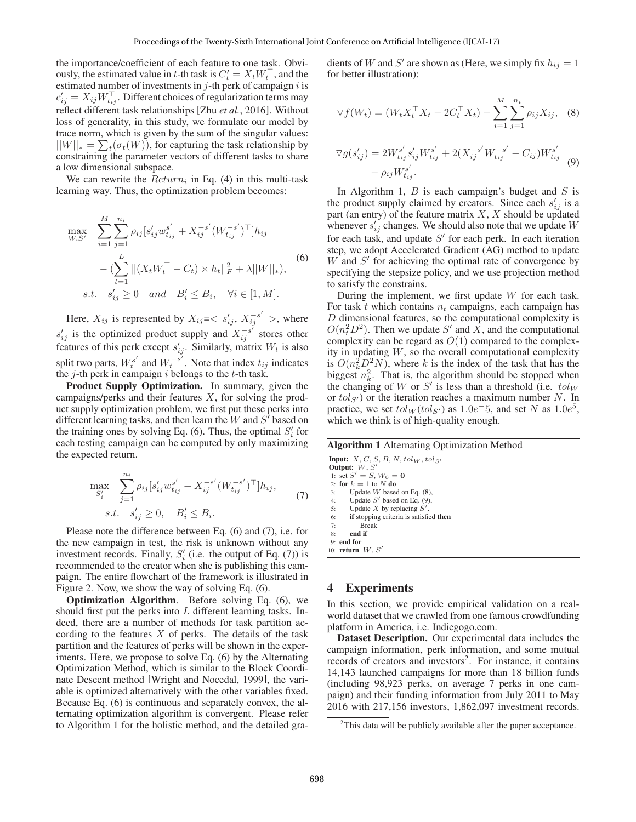the importance/coefficient of each feature to one task. Obviously, the estimated value in t-th task is  $C_t' = X_t W_t^{\perp}$ , and the estimated number of investments in  $j$ -th perk of campaign  $i$  is  $c'_{ij} = X_{ij} W_{t_{ij}}^{\perp}$ . Different choices of regularization terms may reflect different task relationships [Zhu *et al.*, 2016]. Without loss of generality, in this study, we formulate our model by trace norm, which is given by the sum of the singular values:  $||W||_* = \sum_t (\sigma_t(W))$ , for capturing the task relationship by constraining the parameter vectors of different tasks to share a low dimensional subspace.

We can rewrite the  $Return_i$  in Eq. (4) in this multi-task learning way. Thus, the optimization problem becomes:

$$
\max_{W,S'} \sum_{i=1}^{M} \sum_{j=1}^{n_i} \rho_{ij} [s'_{ij} w_{t_{ij}}^{s'} + X_{ij}^{-s'} (W_{t_{ij}}^{-s'})^{\top}] h_{ij}
$$
\n
$$
- (\sum_{t=1}^{L} ||(X_t W_t^{\top} - C_t) \times h_t||_F^2 + \lambda ||W||_*,),
$$
\n*s.t.*  $s'_{ij} \ge 0$  and  $B'_i \le B_i$ ,  $\forall i \in [1, M].$  (6)

Here,  $X_{ij}$  is represented by  $X_{ij}=,$  where  $s'_{ij}$  is the optimized product supply and  $X_{ij}^{-s'}$  stores other features of this perk except  $s'_{ij}$ . Similarly, matrix  $W_t$  is also split two parts,  $W_t^{s'}$  and  $W_t^{-s'}$ . Note that index  $t_{ij}$  indicates the  $j$ -th perk in campaign  $i$  belongs to the  $t$ -th task.

Product Supply Optimization. In summary, given the campaigns/perks and their features  $X$ , for solving the product supply optimization problem, we first put these perks into different learning tasks, and then learn the  $W$  and  $S'$  based on the training ones by solving Eq. (6). Thus, the optimal  $S_i'$  for each testing campaign can be computed by only maximizing the expected return.

$$
\max_{S'_i} \sum_{j=1}^{n_i} \rho_{ij} [s'_{ij} w_{t_{ij}}^{s'} + X_{ij}^{-s'} (W_{t_{ij}}^{-s'})^{\top}] h_{ij},
$$
  
s.t.  $s'_{ij} \ge 0, \quad B'_i \le B_i.$  (7)

Please note the difference between Eq. (6) and (7), i.e. for the new campaign in test, the risk is unknown without any investment records. Finally,  $S_i'$  (i.e. the output of Eq. (7)) is recommended to the creator when she is publishing this campaign. The entire flowchart of the framework is illustrated in Figure 2. Now, we show the way of solving Eq. (6).

Optimization Algorithm. Before solving Eq. (6), we should first put the perks into  $L$  different learning tasks. Indeed, there are a number of methods for task partition according to the features  $X$  of perks. The details of the task partition and the features of perks will be shown in the experiments. Here, we propose to solve Eq. (6) by the Alternating Optimization Method, which is similar to the Block Coordinate Descent method [Wright and Nocedal, 1999], the variable is optimized alternatively with the other variables fixed. Because Eq. (6) is continuous and separately convex, the alternating optimization algorithm is convergent. Please refer to Algorithm 1 for the holistic method, and the detailed gra-

dients of W and S' are shown as (Here, we simply fix  $h_{ij} = 1$ for better illustration):

$$
\nabla f(W_t) = (W_t X_t^\top X_t - 2C_t^\top X_t) - \sum_{i=1}^M \sum_{j=1}^{n_i} \rho_{ij} X_{ij}, \quad (8)
$$

$$
\nabla g(s'_{ij}) = 2W_{t_{ij}}^{s'} s'_{ij} W_{t_{ij}}^{s'} + 2(X_{ij}^{-s'} W_{t_{ij}}^{-s'} - C_{ij}) W_{t_{ij}}^{s'} \n- \rho_{ij} W_{t_{ij}}^{s'}.
$$
\n(9)

In Algorithm 1,  $B$  is each campaign's budget and  $S$  is the product supply claimed by creators. Since each  $s'_{ij}$  is a part (an entry) of the feature matrix  $X$ ,  $X$  should be updated whenever  $s'_{ij}$  changes. We should also note that we update W for each task, and update  $S'$  for each perk. In each iteration step, we adopt Accelerated Gradient (AG) method to update  $W$  and  $S'$  for achieving the optimal rate of convergence by specifying the stepsize policy, and we use projection method to satisfy the constrains.

During the implement, we first update  $W$  for each task. For task t which contains  $n_t$  campaigns, each campaign has D dimensional features, so the computational complexity is  $O(n_t^2 D^2)$ . Then we update S' and X, and the computational complexity can be regard as  $O(1)$  compared to the complexity in updating  $W$ , so the overall computational complexity is  $O(n_k^2 D^2 N)$ , where k is the index of the task that has the biggest  $n_k^2$ . That is, the algorithm should be stopped when the changing of W or S' is less than a threshold (i.e.  $tol_W$ or  $tol_{S'}$ ) or the iteration reaches a maximum number N. In practice, we set  $tol_W(tol_{S'})$  as 1.0e<sup>-5</sup>, and set N as 1.0e<sup>5</sup>, which we think is of high-quality enough.

#### Algorithm 1 Alternating Optimization Method

Input:  $X, C, S, B, N, tol_W, tol_{S'}$ **Output:**  $W, S'$ <br>1: set  $S' = S, W_0 = 0$ 2: **for**  $k = 1$  to  $N$  **do**<br>3: Update  $W$  based on Eq. (8),<br>4: Update  $S'$  based on Eq. (9), 5: Update X by replacing  $S'$ . 6: if stopping criteria is satisfied then 7: Break end if 9: end for 10: return  $W, S'$ 

### 4 Experiments

In this section, we provide empirical validation on a realworld dataset that we crawled from one famous crowdfunding platform in America, i.e. Indiegogo.com.

Dataset Description. Our experimental data includes the campaign information, perk information, and some mutual records of creators and investors<sup>2</sup>. For instance, it contains 14,143 launched campaigns for more than 18 billion funds (including 98,923 perks, on average 7 perks in one campaign) and their funding information from July 2011 to May 2016 with 217,156 investors, 1,862,097 investment records.

 $2$ This data will be publicly available after the paper acceptance.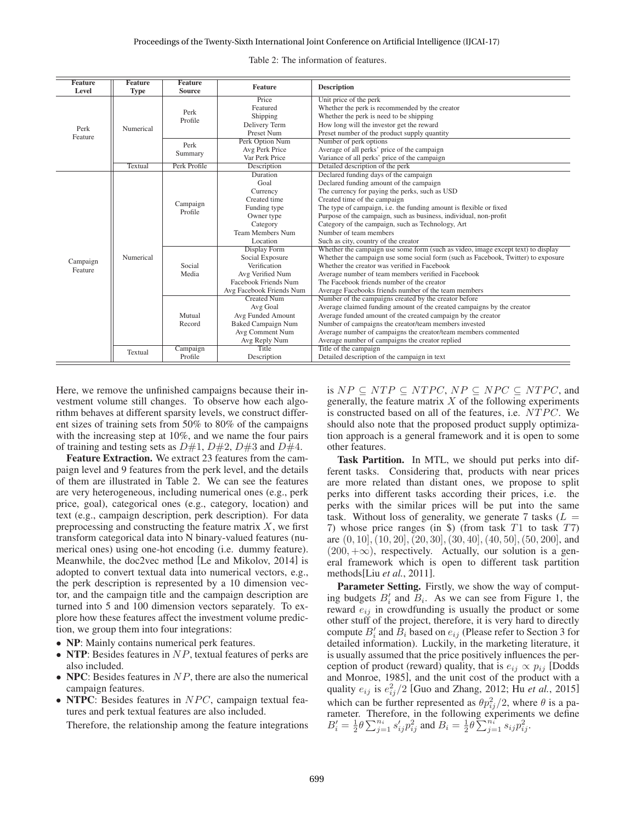| <b>Feature</b>  | <b>Feature</b> | <b>Feature</b>      | <b>Feature</b>                                                 | <b>Description</b>                                                                |  |  |  |
|-----------------|----------------|---------------------|----------------------------------------------------------------|-----------------------------------------------------------------------------------|--|--|--|
| <b>Level</b>    | <b>Type</b>    | <b>Source</b>       |                                                                |                                                                                   |  |  |  |
| Perk<br>Feature |                |                     | Price                                                          | Unit price of the perk                                                            |  |  |  |
|                 |                | Perk                | Featured                                                       | Whether the perk is recommended by the creator                                    |  |  |  |
|                 | Numerical      | Profile             | Shipping                                                       | Whether the perk is need to be shipping                                           |  |  |  |
|                 |                |                     | Delivery Term                                                  | How long will the investor get the reward                                         |  |  |  |
|                 |                |                     | Preset Num                                                     | Preset number of the product supply quantity                                      |  |  |  |
|                 |                | Perk<br>Summary     | Perk Option Num                                                | Number of perk options                                                            |  |  |  |
|                 |                |                     | Avg Perk Price                                                 | Average of all perks' price of the campaign                                       |  |  |  |
|                 |                |                     | Var Perk Price<br>Variance of all perks' price of the campaign |                                                                                   |  |  |  |
|                 | Textual        | Perk Profile        | Description                                                    | Detailed description of the perk                                                  |  |  |  |
|                 |                | Campaign<br>Profile | Duration                                                       | Declared funding days of the campaign                                             |  |  |  |
|                 |                |                     | Goal                                                           | Declared funding amount of the campaign                                           |  |  |  |
|                 |                |                     | Currency                                                       | The currency for paying the perks, such as USD                                    |  |  |  |
|                 |                |                     | Created time<br>Created time of the campaign                   |                                                                                   |  |  |  |
|                 |                |                     | Funding type                                                   | The type of campaign, i.e. the funding amount is flexible or fixed                |  |  |  |
|                 |                |                     | Owner type                                                     | Purpose of the campaign, such as business, individual, non-profit                 |  |  |  |
|                 |                |                     | Category<br>Category of the campaign, such as Technology, Art  |                                                                                   |  |  |  |
|                 |                |                     | <b>Team Members Num</b>                                        | Number of team members                                                            |  |  |  |
|                 |                |                     | Location                                                       | Such as city, country of the creator                                              |  |  |  |
|                 |                | Social<br>Media     | Display Form                                                   | Whether the campaign use some form (such as video, image except text) to display  |  |  |  |
| Campaign        | Numerical      |                     | Social Exposure                                                | Whether the campaign use some social form (such as Facebook, Twitter) to exposure |  |  |  |
| Feature         |                |                     | Verification                                                   | Whether the creator was verified in Facebook                                      |  |  |  |
|                 |                |                     | Avg Verified Num                                               | Average number of team members verified in Facebook                               |  |  |  |
|                 |                |                     | Facebook Friends Num                                           | The Facebook friends number of the creator                                        |  |  |  |
|                 |                |                     | Avg Facebook Friends Num                                       | Average Facebooks friends number of the team members                              |  |  |  |
|                 |                | Mutual<br>Record    | <b>Created Num</b>                                             | Number of the campaigns created by the creator before                             |  |  |  |
|                 |                |                     | Avg Goal                                                       | Average claimed funding amount of the created campaigns by the creator            |  |  |  |
|                 |                |                     | Avg Funded Amount                                              | Average funded amount of the created campaign by the creator                      |  |  |  |
|                 |                |                     | <b>Baked Campaign Num</b>                                      | Number of campaigns the creator/team members invested                             |  |  |  |
|                 |                |                     | Avg Comment Num                                                | Average number of campaigns the creator/team members commented                    |  |  |  |
|                 |                |                     | Avg Reply Num                                                  | Average number of campaigns the creator replied                                   |  |  |  |
|                 | <b>Textual</b> | Campaign            | Title                                                          | Title of the campaign                                                             |  |  |  |
|                 |                | Profile             | Description                                                    | Detailed description of the campaign in text                                      |  |  |  |

Table 2: The information of features.

Here, we remove the unfinished campaigns because their investment volume still changes. To observe how each algorithm behaves at different sparsity levels, we construct different sizes of training sets from 50% to 80% of the campaigns with the increasing step at 10%, and we name the four pairs of training and testing sets as  $D\#1$ ,  $D\#2$ ,  $D\#3$  and  $D\#4$ .

Feature Extraction. We extract 23 features from the campaign level and 9 features from the perk level, and the details of them are illustrated in Table 2. We can see the features are very heterogeneous, including numerical ones (e.g., perk price, goal), categorical ones (e.g., category, location) and text (e.g., campaign description, perk description). For data preprocessing and constructing the feature matrix  $X$ , we first transform categorical data into N binary-valued features (numerical ones) using one-hot encoding (i.e. dummy feature). Meanwhile, the doc2vec method [Le and Mikolov, 2014] is adopted to convert textual data into numerical vectors, e.g., the perk description is represented by a 10 dimension vector, and the campaign title and the campaign description are turned into 5 and 100 dimension vectors separately. To explore how these features affect the investment volume prediction, we group them into four integrations:

- NP: Mainly contains numerical perk features.
- NTP: Besides features in  $NP$ , textual features of perks are also included.
- NPC: Besides features in  $NP$ , there are also the numerical campaign features.
- NTPC: Besides features in NPC, campaign textual features and perk textual features are also included.

Therefore, the relationship among the feature integrations

is  $NP \subseteq NTP \subseteq NTPC$ ,  $NP \subseteq NPC \subseteq NTPC$ , and generally, the feature matrix  $X$  of the following experiments is constructed based on all of the features, i.e. NTPC. We should also note that the proposed product supply optimization approach is a general framework and it is open to some other features.

Task Partition. In MTL, we should put perks into different tasks. Considering that, products with near prices are more related than distant ones, we propose to split perks into different tasks according their prices, i.e. the perks with the similar prices will be put into the same task. Without loss of generality, we generate 7 tasks  $(L =$ 7) whose price ranges (in \$) (from task  $T1$  to task  $T7$ ) are  $(0, 10]$ ,  $(10, 20]$ ,  $(20, 30]$ ,  $(30, 40]$ ,  $(40, 50]$ ,  $(50, 200]$ , and  $(200, +\infty)$ , respectively. Actually, our solution is a general framework which is open to different task partition methods[Liu *et al.*, 2011].

Parameter Setting. Firstly, we show the way of computing budgets  $B_i'$  and  $B_i$ . As we can see from Figure 1, the reward  $e_{ij}$  in crowdfunding is usually the product or some other stuff of the project, therefore, it is very hard to directly compute  $B_i'$  and  $B_i$  based on  $e_{ij}$  (Please refer to Section 3 for detailed information). Luckily, in the marketing literature, it is usually assumed that the price positively influences the perception of product (reward) quality, that is  $e_{ij} \propto p_{ij}$  [Dodds and Monroe, 1985], and the unit cost of the product with a quality  $e_{ij}$  is  $e_{ij}^2/2$  [Guo and Zhang, 2012; Hu *et al.*, 2015] which can be further represented as  $\theta p_{ij}^2/2$ , where  $\theta$  is a parameter. Therefore, in the following experiments we define  $B_i' = \frac{1}{2}\theta \sum_{j=1}^{n_i} s_{ij}'p_{ij}^2$  and  $B_i = \frac{1}{2}\theta \sum_{j=1}^{n_i} s_{ij}p_{ij}^2$ .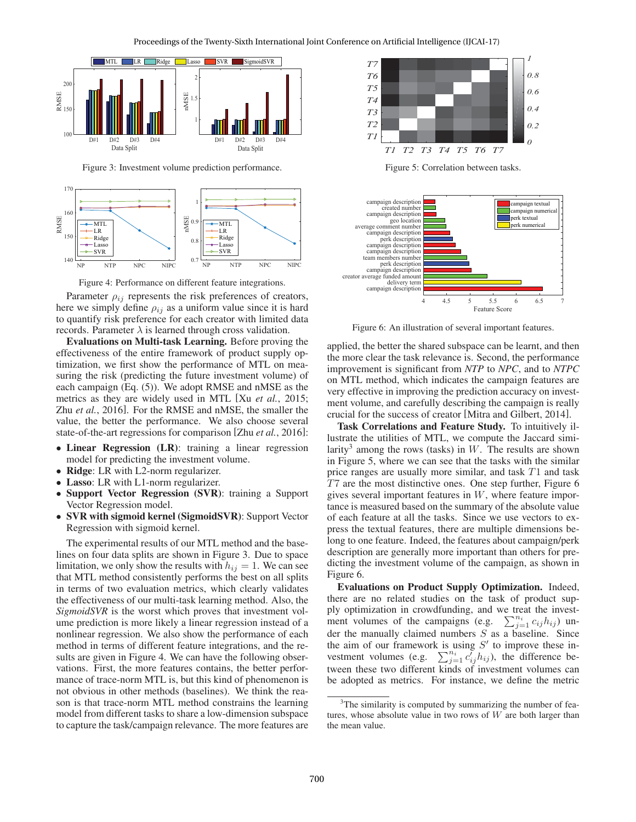

Figure 3: Investment volume prediction performance.



Figure 4: Performance on different feature integrations.

Parameter  $\rho_{ij}$  represents the risk preferences of creators, here we simply define  $\rho_{ij}$  as a uniform value since it is hard to quantify risk preference for each creator with limited data records. Parameter  $\lambda$  is learned through cross validation.

Evaluations on Multi-task Learning. Before proving the effectiveness of the entire framework of product supply optimization, we first show the performance of MTL on measuring the risk (predicting the future investment volume) of each campaign (Eq. (5)). We adopt RMSE and nMSE as the metrics as they are widely used in MTL [Xu *et al.*, 2015; Zhu *et al.*, 2016]. For the RMSE and nMSE, the smaller the value, the better the performance. We also choose several state-of-the-art regressions for comparison [Zhu *et al.*, 2016]:

- Linear Regression (LR): training a linear regression model for predicting the investment volume.
- Ridge: LR with L2-norm regularizer.
- Lasso: LR with L1-norm regularizer.<br>• Support Vector Regression (SVR)
- Support Vector Regression (SVR): training a Support Vector Regression model.
- SVR with sigmoid kernel (SigmoidSVR): Support Vector Regression with sigmoid kernel.

The experimental results of our MTL method and the baselines on four data splits are shown in Figure 3. Due to space limitation, we only show the results with  $h_{ij} = 1$ . We can see that MTL method consistently performs the best on all splits in terms of two evaluation metrics, which clearly validates the effectiveness of our multi-task learning method. Also, the *SigmoidSVR* is the worst which proves that investment volume prediction is more likely a linear regression instead of a nonlinear regression. We also show the performance of each method in terms of different feature integrations, and the results are given in Figure 4. We can have the following observations. First, the more features contains, the better performance of trace-norm MTL is, but this kind of phenomenon is not obvious in other methods (baselines). We think the reason is that trace-norm MTL method constrains the learning model from different tasks to share a low-dimension subspace to capture the task/campaign relevance. The more features are



Figure 5: Correlation between tasks.



Figure 6: An illustration of several important features.

applied, the better the shared subspace can be learnt, and then the more clear the task relevance is. Second, the performance improvement is significant from *NTP* to *NPC*, and to *NTPC* on MTL method, which indicates the campaign features are very effective in improving the prediction accuracy on investment volume, and carefully describing the campaign is really crucial for the success of creator [Mitra and Gilbert, 2014].

Task Correlations and Feature Study. To intuitively illustrate the utilities of MTL, we compute the Jaccard similarity<sup>3</sup> among the rows (tasks) in  $W$ . The results are shown in Figure 5, where we can see that the tasks with the similar price ranges are usually more similar, and task T1 and task T7 are the most distinctive ones. One step further, Figure 6 gives several important features in  $W$ , where feature importance is measured based on the summary of the absolute value of each feature at all the tasks. Since we use vectors to express the textual features, there are multiple dimensions belong to one feature. Indeed, the features about campaign/perk description are generally more important than others for predicting the investment volume of the campaign, as shown in Figure 6.

Evaluations on Product Supply Optimization. Indeed, there are no related studies on the task of product supply optimization in crowdfunding, and we treat the investment volumes of the campaigns (e.g.  $\sum_{j=1}^{n_i} c_{ij} h_{ij}$ ) under the manually claimed numbers  $S$  as a baseline. Since the aim of our framework is using  $S'$  to improve these investment volumes (e.g.  $\sum_{j=1}^{n_i} c'_{ij} h_{ij}$ ), the difference between these two different kinds of investment volumes can be adopted as metrics. For instance, we define the metric

<sup>&</sup>lt;sup>3</sup>The similarity is computed by summarizing the number of features, whose absolute value in two rows of  $W$  are both larger than the mean value.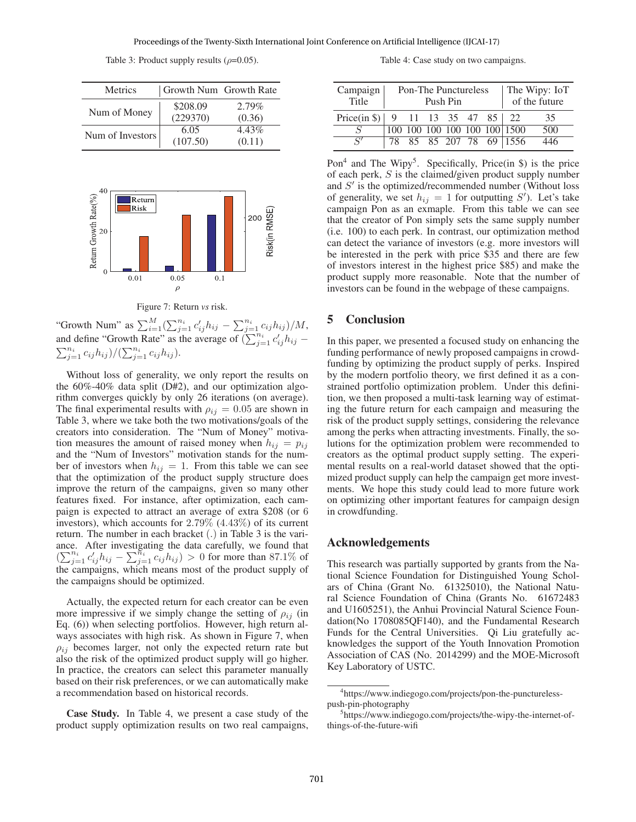Table 3: Product supply results ( $\rho$ =0.05).

| Metrics          | Growth Num Growth Rate |                    |  |  |
|------------------|------------------------|--------------------|--|--|
| Num of Money     | \$208.09<br>(229370)   | $2.79\%$<br>(0.36) |  |  |
| Num of Investors | 6.05<br>(107.50)       | 4.43%<br>(0.11)    |  |  |



Figure 7: Return *vs* risk.

"Growth Num" as  $\sum_{i=1}^{M} (\sum_{j=1}^{n_i} c'_{ij} h_{ij} - \sum_{j=1}^{n_i} c_{ij} h_{ij})/M$ , and define "Growth Rate" as the average of  $(\sum_{j=1}^{n_i} c'_{ij} h_{ij} \sum_{j=1}^{n_i} c_{ij} h_{ij}$  $/(\sum_{j=1}^{n_i} c_{ij} h_{ij}).$ 

Without loss of generality, we only report the results on the 60%-40% data split (D#2), and our optimization algorithm converges quickly by only 26 iterations (on average). The final experimental results with  $\rho_{ij} = 0.05$  are shown in Table 3, where we take both the two motivations/goals of the creators into consideration. The "Num of Money" motivation measures the amount of raised money when  $h_{ij} = p_{ij}$ and the "Num of Investors" motivation stands for the number of investors when  $h_{ij} = 1$ . From this table we can see that the optimization of the product supply structure does improve the return of the campaigns, given so many other features fixed. For instance, after optimization, each campaign is expected to attract an average of extra \$208 (or 6 investors), which accounts for 2.79% (4.43%) of its current return. The number in each bracket (.) in Table 3 is the variance. After investigating the data carefully, we found that  $(\sum_{j=1}^{n_i} c'_{ij}h_{ij} - \sum_{j=1}^{n_i} c_{ij}h_{ij}) > 0$  for more than 87.1% of the campaigns, which means most of the product supply of the campaigns should be optimized.

Actually, the expected return for each creator can be even more impressive if we simply change the setting of  $\rho_{ij}$  (in Eq. (6)) when selecting portfolios. However, high return always associates with high risk. As shown in Figure 7, when  $\rho_{ij}$  becomes larger, not only the expected return rate but also the risk of the optimized product supply will go higher. In practice, the creators can select this parameter manually based on their risk preferences, or we can automatically make a recommendation based on historical records.

Case Study. In Table 4, we present a case study of the product supply optimization results on two real campaigns,

Table 4: Case study on two campaigns.

| Campaign<br>Title                          | <b>Pon-The Punctureless</b><br>Push Pin |  |  |  | The Wipy: IoT<br>of the future |                              |     |
|--------------------------------------------|-----------------------------------------|--|--|--|--------------------------------|------------------------------|-----|
| Price(in $\{\$\}\$   9 11 13 35 47 85   22 |                                         |  |  |  |                                |                              | 35  |
|                                            |                                         |  |  |  |                                | 100 100 100 100 100 100 1500 | 500 |
| S'                                         |                                         |  |  |  |                                | 78 85 85 207 78 69 1556      | 446 |

Pon<sup>4</sup> and The Wipy<sup>5</sup>. Specifically, Price(in  $\hat{S}$ ) is the price of each perk, S is the claimed/given product supply number and  $S'$  is the optimized/recommended number (Without loss of generality, we set  $h_{ij} = 1$  for outputting S'). Let's take campaign Pon as an exmaple. From this table we can see that the creator of Pon simply sets the same supply number (i.e. 100) to each perk. In contrast, our optimization method can detect the variance of investors (e.g. more investors will be interested in the perk with price \$35 and there are few of investors interest in the highest price \$85) and make the product supply more reasonable. Note that the number of investors can be found in the webpage of these campaigns.

## 5 Conclusion

In this paper, we presented a focused study on enhancing the funding performance of newly proposed campaigns in crowdfunding by optimizing the product supply of perks. Inspired by the modern portfolio theory, we first defined it as a constrained portfolio optimization problem. Under this definition, we then proposed a multi-task learning way of estimating the future return for each campaign and measuring the risk of the product supply settings, considering the relevance among the perks when attracting investments. Finally, the solutions for the optimization problem were recommended to creators as the optimal product supply setting. The experimental results on a real-world dataset showed that the optimized product supply can help the campaign get more investments. We hope this study could lead to more future work on optimizing other important features for campaign design in crowdfunding.

## Acknowledgements

This research was partially supported by grants from the National Science Foundation for Distinguished Young Scholars of China (Grant No. 61325010), the National Natural Science Foundation of China (Grants No. 61672483 and U1605251), the Anhui Provincial Natural Science Foundation(No 1708085QF140), and the Fundamental Research Funds for the Central Universities. Qi Liu gratefully acknowledges the support of the Youth Innovation Promotion Association of CAS (No. 2014299) and the MOE-Microsoft Key Laboratory of USTC.

<sup>4</sup> https://www.indiegogo.com/projects/pon-the-puncturelesspush-pin-photography

<sup>5</sup> https://www.indiegogo.com/projects/the-wipy-the-internet-ofthings-of-the-future-wifi